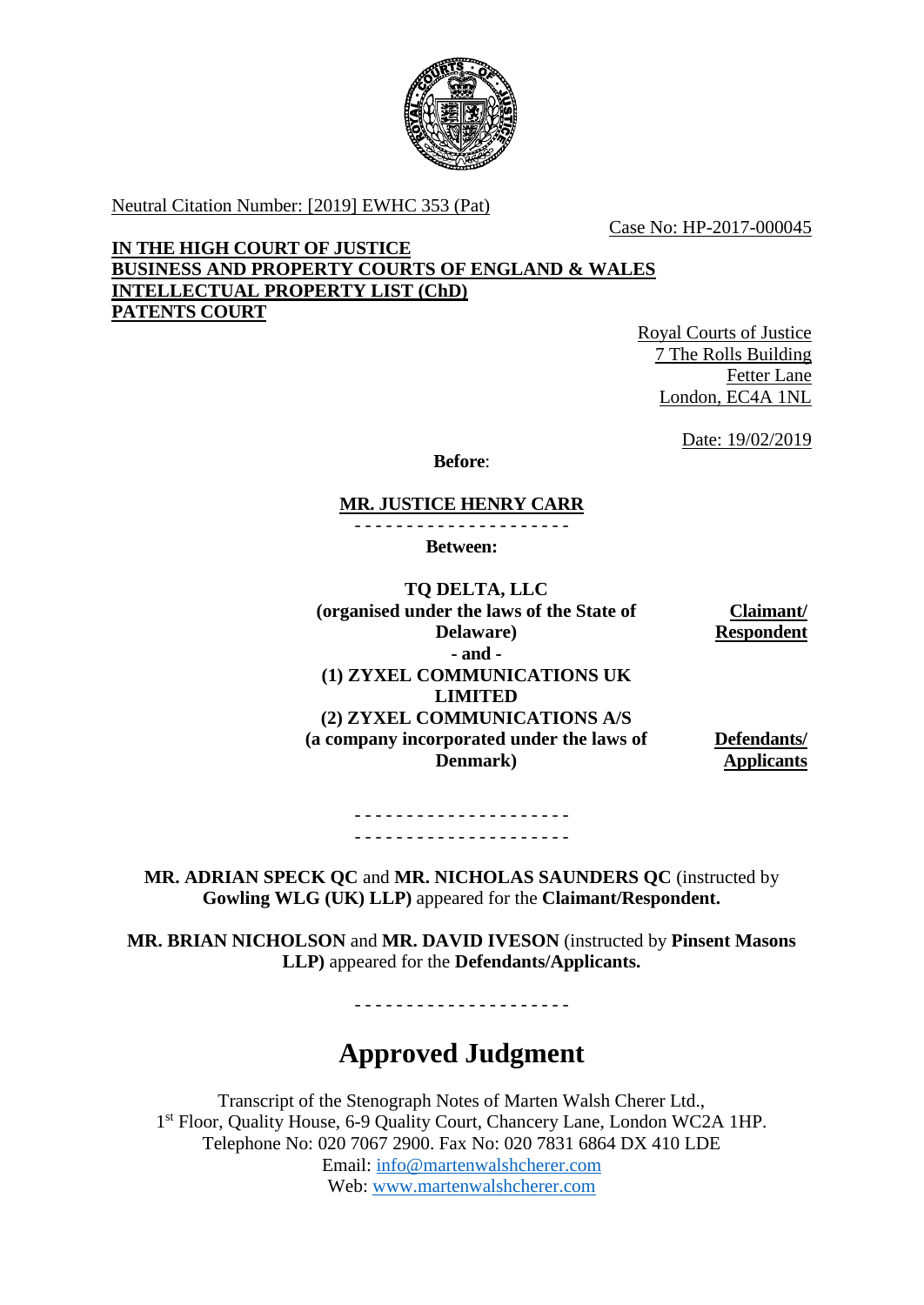

Neutral Citation Number: [2019] EWHC 353 (Pat)

Case No: HP-2017-000045

**IN THE HIGH COURT OF JUSTICE BUSINESS AND PROPERTY COURTS OF ENGLAND & WALES INTELLECTUAL PROPERTY LIST (ChD) PATENTS COURT**

Royal Courts of Justice 7 The Rolls Building Fetter Lane London, EC4A 1NL

Date: 19/02/2019

**Before**:

#### **MR. JUSTICE HENRY CARR**

**Between:**

**TQ DELTA, LLC (organised under the laws of the State of Delaware) - and - (1) ZYXEL COMMUNICATIONS UK LIMITED (2) ZYXEL COMMUNICATIONS A/S (a company incorporated under the laws of Denmark)**

**Claimant/ Respondent**

**Defendants/ Applicants**

- - - - - - - - - - - - - - - - - - - - - - - - - - - - - - - - - - - - - - - - - -

**MR. ADRIAN SPECK QC** and **MR. NICHOLAS SAUNDERS QC** (instructed by **Gowling WLG (UK) LLP)** appeared for the **Claimant/Respondent.**

**MR. BRIAN NICHOLSON** and **MR. DAVID IVESON** (instructed by **Pinsent Masons LLP)** appeared for the **Defendants/Applicants.**

# **Approved Judgment**

- - - - - - - - - - - - - - - - - - - - -

Transcript of the Stenograph Notes of Marten Walsh Cherer Ltd., 1<sup>st</sup> Floor, Quality House, 6-9 Quality Court, Chancery Lane, London WC2A 1HP. Telephone No: 020 7067 2900. Fax No: 020 7831 6864 DX 410 LDE Email: [info@martenwalshcherer.com](mailto:info@martenwalshcherer.com) Web: [www.martenwalshcherer.com](http://www.martenwalshcherer.com/)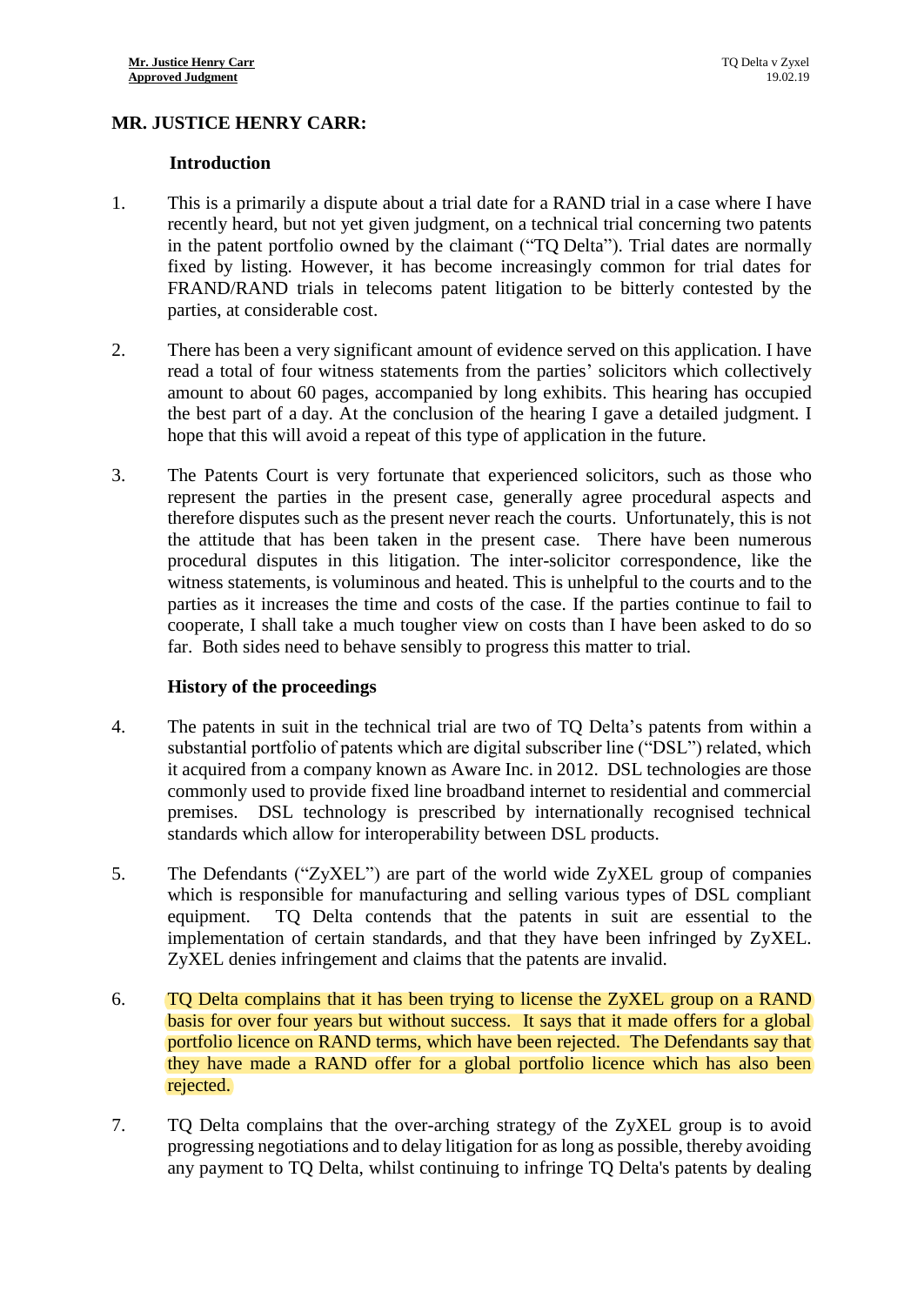# **MR. JUSTICE HENRY CARR:**

#### **Introduction**

- 1. This is a primarily a dispute about a trial date for a RAND trial in a case where I have recently heard, but not yet given judgment, on a technical trial concerning two patents in the patent portfolio owned by the claimant ("TQ Delta"). Trial dates are normally fixed by listing. However, it has become increasingly common for trial dates for FRAND/RAND trials in telecoms patent litigation to be bitterly contested by the parties, at considerable cost.
- 2. There has been a very significant amount of evidence served on this application. I have read a total of four witness statements from the parties' solicitors which collectively amount to about 60 pages, accompanied by long exhibits. This hearing has occupied the best part of a day. At the conclusion of the hearing I gave a detailed judgment. I hope that this will avoid a repeat of this type of application in the future.
- 3. The Patents Court is very fortunate that experienced solicitors, such as those who represent the parties in the present case, generally agree procedural aspects and therefore disputes such as the present never reach the courts. Unfortunately, this is not the attitude that has been taken in the present case. There have been numerous procedural disputes in this litigation. The inter-solicitor correspondence, like the witness statements, is voluminous and heated. This is unhelpful to the courts and to the parties as it increases the time and costs of the case. If the parties continue to fail to cooperate, I shall take a much tougher view on costs than I have been asked to do so far. Both sides need to behave sensibly to progress this matter to trial.

### **History of the proceedings**

- 4. The patents in suit in the technical trial are two of TQ Delta's patents from within a substantial portfolio of patents which are digital subscriber line ("DSL") related, which it acquired from a company known as Aware Inc. in 2012. DSL technologies are those commonly used to provide fixed line broadband internet to residential and commercial premises. DSL technology is prescribed by internationally recognised technical standards which allow for interoperability between DSL products.
- 5. The Defendants ("ZyXEL") are part of the world wide ZyXEL group of companies which is responsible for manufacturing and selling various types of DSL compliant equipment. TQ Delta contends that the patents in suit are essential to the implementation of certain standards, and that they have been infringed by ZyXEL. ZyXEL denies infringement and claims that the patents are invalid.
- 6. TQ Delta complains that it has been trying to license the ZyXEL group on a RAND basis for over four years but without success. It says that it made offers for a global portfolio licence on RAND terms, which have been rejected. The Defendants say that they have made a RAND offer for a global portfolio licence which has also been rejected.
- 7. TQ Delta complains that the over-arching strategy of the ZyXEL group is to avoid progressing negotiations and to delay litigation for as long as possible, thereby avoiding any payment to TQ Delta, whilst continuing to infringe TQ Delta's patents by dealing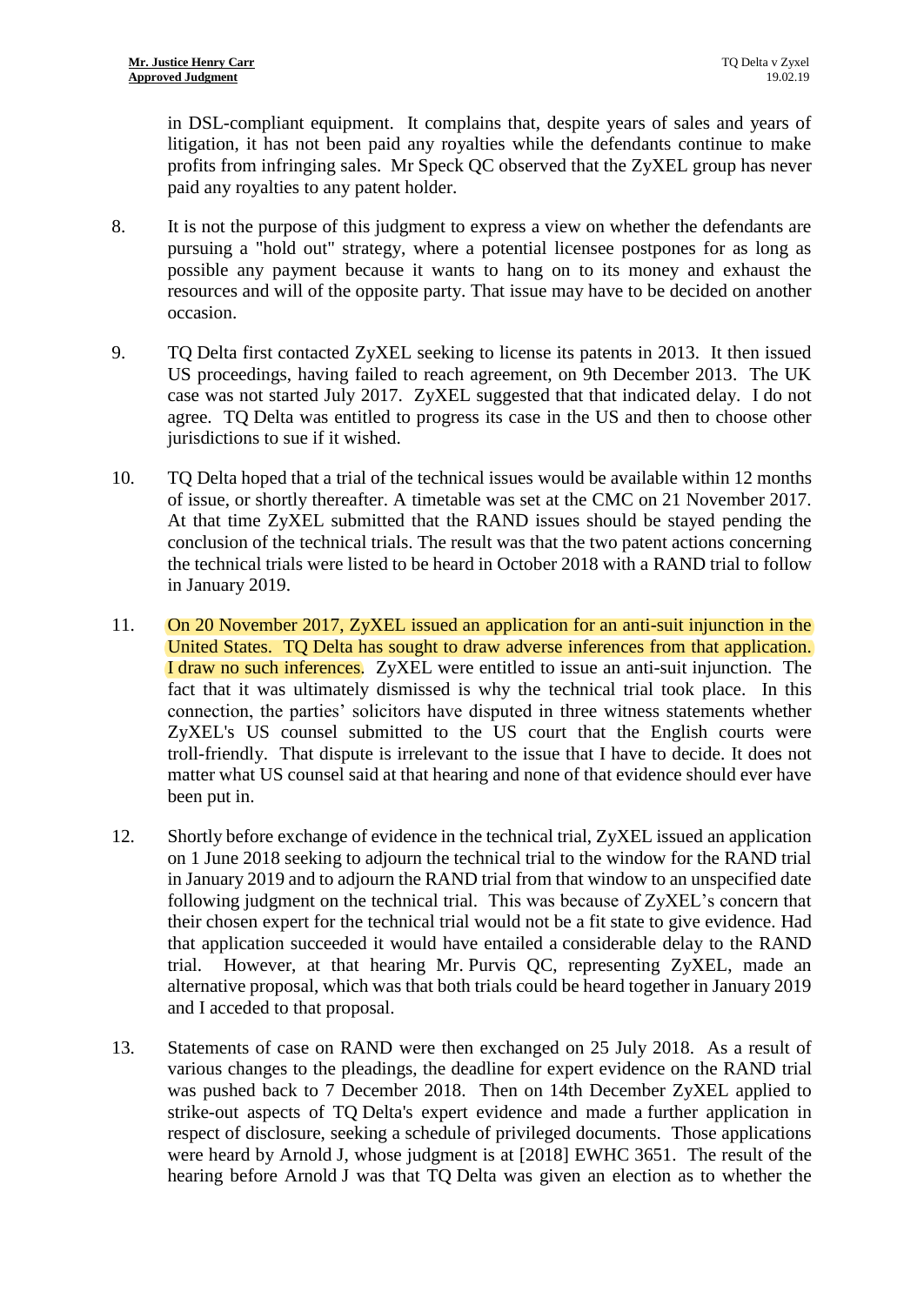in DSL-compliant equipment. It complains that, despite years of sales and years of litigation, it has not been paid any royalties while the defendants continue to make profits from infringing sales. Mr Speck QC observed that the ZyXEL group has never paid any royalties to any patent holder.

- 8. It is not the purpose of this judgment to express a view on whether the defendants are pursuing a "hold out" strategy, where a potential licensee postpones for as long as possible any payment because it wants to hang on to its money and exhaust the resources and will of the opposite party. That issue may have to be decided on another occasion.
- 9. TQ Delta first contacted ZyXEL seeking to license its patents in 2013. It then issued US proceedings, having failed to reach agreement, on 9th December 2013. The UK case was not started July 2017. ZyXEL suggested that that indicated delay. I do not agree. TQ Delta was entitled to progress its case in the US and then to choose other jurisdictions to sue if it wished.
- 10. TQ Delta hoped that a trial of the technical issues would be available within 12 months of issue, or shortly thereafter. A timetable was set at the CMC on 21 November 2017. At that time ZyXEL submitted that the RAND issues should be stayed pending the conclusion of the technical trials. The result was that the two patent actions concerning the technical trials were listed to be heard in October 2018 with a RAND trial to follow in January 2019.
- 11. On 20 November 2017, ZyXEL issued an application for an anti-suit injunction in the United States. TQ Delta has sought to draw adverse inferences from that application. I draw no such inferences. ZyXEL were entitled to issue an anti-suit injunction. The fact that it was ultimately dismissed is why the technical trial took place. In this connection, the parties' solicitors have disputed in three witness statements whether ZyXEL's US counsel submitted to the US court that the English courts were troll-friendly. That dispute is irrelevant to the issue that I have to decide. It does not matter what US counsel said at that hearing and none of that evidence should ever have been put in.
- 12. Shortly before exchange of evidence in the technical trial, ZyXEL issued an application on 1 June 2018 seeking to adjourn the technical trial to the window for the RAND trial in January 2019 and to adjourn the RAND trial from that window to an unspecified date following judgment on the technical trial. This was because of ZyXEL's concern that their chosen expert for the technical trial would not be a fit state to give evidence. Had that application succeeded it would have entailed a considerable delay to the RAND trial. However, at that hearing Mr. Purvis QC, representing ZyXEL, made an alternative proposal, which was that both trials could be heard together in January 2019 and I acceded to that proposal.
- 13. Statements of case on RAND were then exchanged on 25 July 2018. As a result of various changes to the pleadings, the deadline for expert evidence on the RAND trial was pushed back to 7 December 2018. Then on 14th December ZyXEL applied to strike-out aspects of TQ Delta's expert evidence and made a further application in respect of disclosure, seeking a schedule of privileged documents. Those applications were heard by Arnold J, whose judgment is at [2018] EWHC 3651. The result of the hearing before Arnold J was that TQ Delta was given an election as to whether the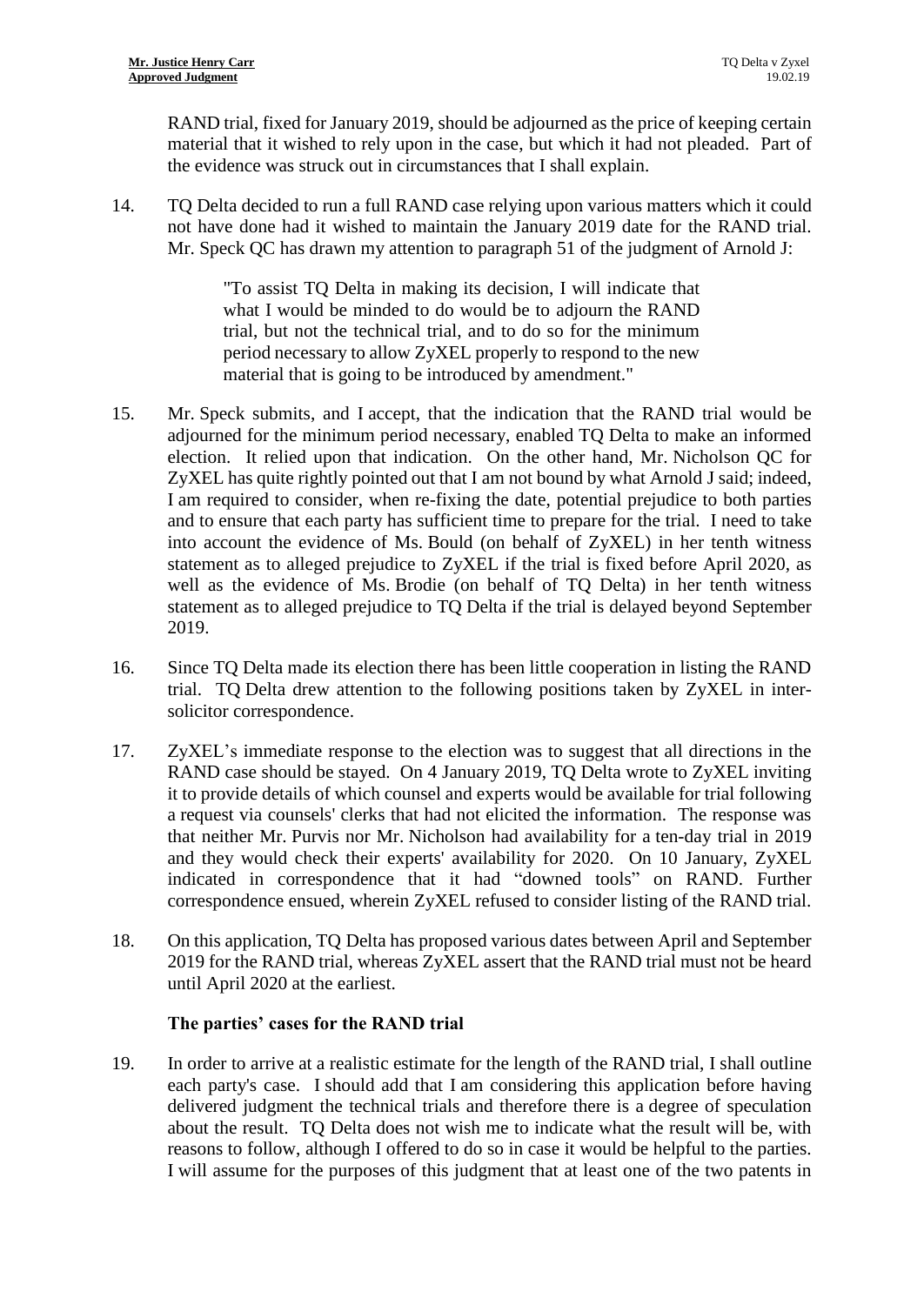RAND trial, fixed for January 2019, should be adjourned as the price of keeping certain material that it wished to rely upon in the case, but which it had not pleaded. Part of the evidence was struck out in circumstances that I shall explain.

14. TQ Delta decided to run a full RAND case relying upon various matters which it could not have done had it wished to maintain the January 2019 date for the RAND trial. Mr. Speck QC has drawn my attention to paragraph 51 of the judgment of Arnold J:

> "To assist TQ Delta in making its decision, I will indicate that what I would be minded to do would be to adjourn the RAND trial, but not the technical trial, and to do so for the minimum period necessary to allow ZyXEL properly to respond to the new material that is going to be introduced by amendment."

- 15. Mr. Speck submits, and I accept, that the indication that the RAND trial would be adjourned for the minimum period necessary, enabled TQ Delta to make an informed election. It relied upon that indication. On the other hand, Mr. Nicholson QC for ZyXEL has quite rightly pointed out that I am not bound by what Arnold J said; indeed, I am required to consider, when re-fixing the date, potential prejudice to both parties and to ensure that each party has sufficient time to prepare for the trial. I need to take into account the evidence of Ms. Bould (on behalf of ZyXEL) in her tenth witness statement as to alleged prejudice to ZyXEL if the trial is fixed before April 2020, as well as the evidence of Ms. Brodie (on behalf of TQ Delta) in her tenth witness statement as to alleged prejudice to TQ Delta if the trial is delayed beyond September 2019.
- 16. Since TQ Delta made its election there has been little cooperation in listing the RAND trial. TQ Delta drew attention to the following positions taken by ZyXEL in intersolicitor correspondence.
- 17. ZyXEL's immediate response to the election was to suggest that all directions in the RAND case should be stayed. On 4 January 2019, TQ Delta wrote to ZyXEL inviting it to provide details of which counsel and experts would be available for trial following a request via counsels' clerks that had not elicited the information. The response was that neither Mr. Purvis nor Mr. Nicholson had availability for a ten-day trial in 2019 and they would check their experts' availability for 2020. On 10 January, ZyXEL indicated in correspondence that it had "downed tools" on RAND. Further correspondence ensued, wherein ZyXEL refused to consider listing of the RAND trial.
- 18. On this application, TQ Delta has proposed various dates between April and September 2019 for the RAND trial, whereas ZyXEL assert that the RAND trial must not be heard until April 2020 at the earliest.

# **The parties' cases for the RAND trial**

19. In order to arrive at a realistic estimate for the length of the RAND trial, I shall outline each party's case. I should add that I am considering this application before having delivered judgment the technical trials and therefore there is a degree of speculation about the result. TQ Delta does not wish me to indicate what the result will be, with reasons to follow, although I offered to do so in case it would be helpful to the parties. I will assume for the purposes of this judgment that at least one of the two patents in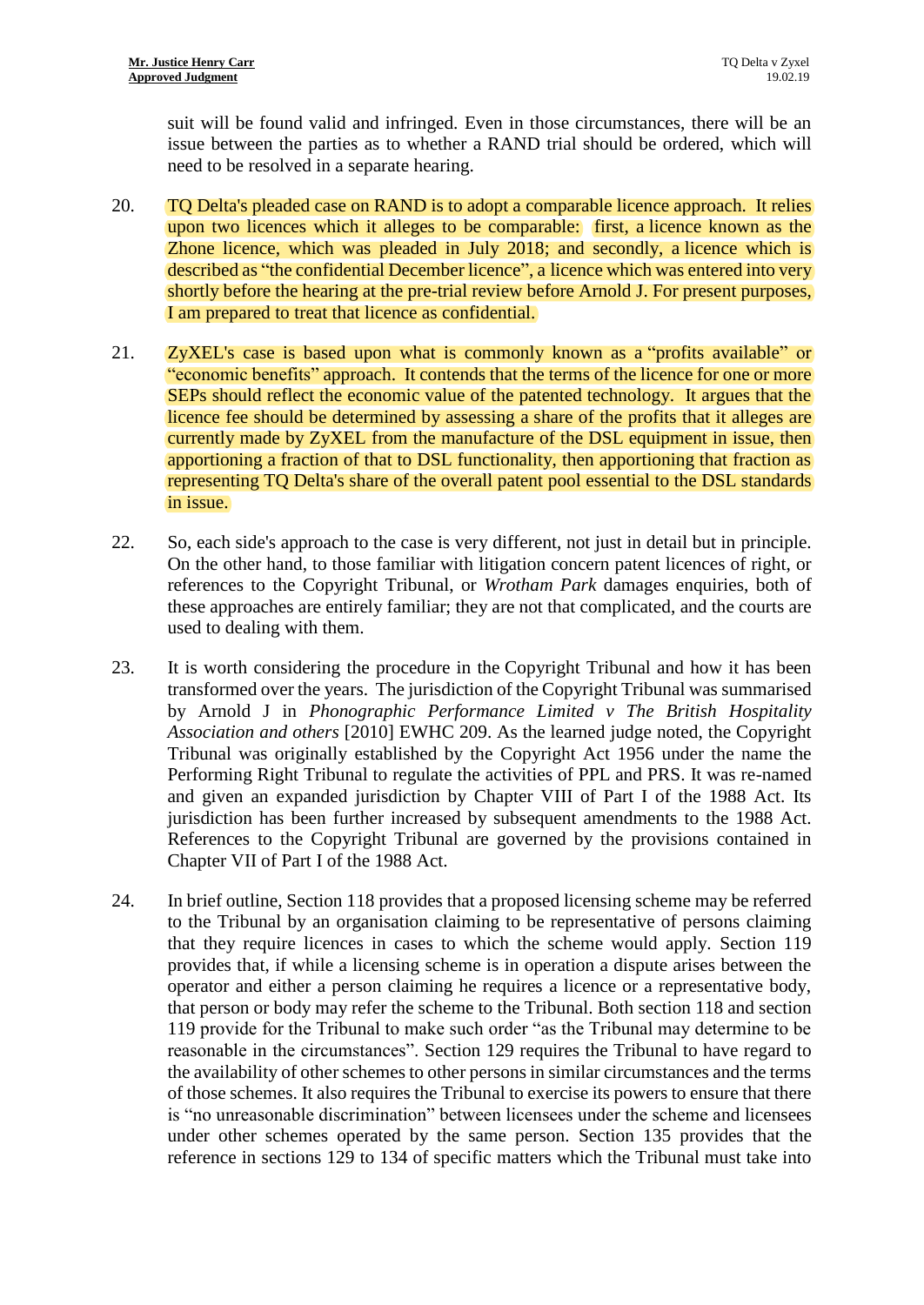suit will be found valid and infringed. Even in those circumstances, there will be an issue between the parties as to whether a RAND trial should be ordered, which will need to be resolved in a separate hearing.

- 20. TQ Delta's pleaded case on RAND is to adopt a comparable licence approach. It relies upon two licences which it alleges to be comparable: first, a licence known as the Zhone licence, which was pleaded in July 2018; and secondly, a licence which is described as "the confidential December licence", a licence which was entered into very shortly before the hearing at the pre-trial review before Arnold J. For present purposes, I am prepared to treat that licence as confidential.
- 21. ZyXEL's case is based upon what is commonly known as a "profits available" or "economic benefits" approach. It contends that the terms of the licence for one or more SEPs should reflect the economic value of the patented technology. It argues that the licence fee should be determined by assessing a share of the profits that it alleges are currently made by ZyXEL from the manufacture of the DSL equipment in issue, then apportioning a fraction of that to DSL functionality, then apportioning that fraction as representing TQ Delta's share of the overall patent pool essential to the DSL standards in issue.
- 22. So, each side's approach to the case is very different, not just in detail but in principle. On the other hand, to those familiar with litigation concern patent licences of right, or references to the Copyright Tribunal, or *Wrotham Park* damages enquiries, both of these approaches are entirely familiar; they are not that complicated, and the courts are used to dealing with them.
- 23. It is worth considering the procedure in the Copyright Tribunal and how it has been transformed over the years. The jurisdiction of the Copyright Tribunal was summarised by Arnold J in *Phonographic Performance Limited v The British Hospitality Association and others* [2010] EWHC 209. As the learned judge noted, the Copyright Tribunal was originally established by the [Copyright Act 1956](http://uk.practicallaw.thomsonreuters.com/Document/I6096E121E42311DAA7CF8F68F6EE57AB/View/FullText.html?originationContext=document&transitionType=DocumentItem&vr=3.0&rs=PLUK1.0&contextData=(sc.Search)) under the name the Performing Right Tribunal to regulate the activities of PPL and PRS. It was re-named and given an expanded jurisdiction by [Chapter VIII of Part I](http://uk.practicallaw.thomsonreuters.com/Document/I5FF6D090E42311DAA7CF8F68F6EE57AB/View/FullText.html?originationContext=document&transitionType=DocumentItem&vr=3.0&rs=PLUK1.0&contextData=(sc.Search)) of the 1988 Act. Its jurisdiction has been further increased by subsequent amendments to the 1988 Act. References to the Copyright Tribunal are governed by the provisions contained in [Chapter VII of Part I](http://uk.practicallaw.thomsonreuters.com/Document/I5FF6D090E42311DAA7CF8F68F6EE57AB/View/FullText.html?originationContext=document&transitionType=DocumentItem&vr=3.0&rs=PLUK1.0&contextData=(sc.Search)) of the 1988 Act.
- 24. In brief outline, [Section 118](http://uk.practicallaw.thomsonreuters.com/Document/I6E3B6F80E44B11DA8D70A0E70A78ED65/View/FullText.html?originationContext=document&transitionType=DocumentItem&vr=3.0&rs=PLUK1.0&contextData=(sc.Search)) provides that a proposed licensing scheme may be referred to the Tribunal by an organisation claiming to be representative of persons claiming that they require licences in cases to which the scheme would apply. [Section 119](http://uk.practicallaw.thomsonreuters.com/Document/I6E3CF620E44B11DA8D70A0E70A78ED65/View/FullText.html?originationContext=document&transitionType=DocumentItem&vr=3.0&rs=PLUK1.0&contextData=(sc.Search)) provides that, if while a licensing scheme is in operation a dispute arises between the operator and either a person claiming he requires a licence or a representative body, that person or body may refer the scheme to the Tribunal. Both [section 118 and section](http://uk.practicallaw.thomsonreuters.com/Document/I6E3B6F80E44B11DA8D70A0E70A78ED65/View/FullText.html?originationContext=document&transitionType=DocumentItem&vr=3.0&rs=PLUK1.0&contextData=(sc.Search))  [119](http://uk.practicallaw.thomsonreuters.com/Document/I6E3B6F80E44B11DA8D70A0E70A78ED65/View/FullText.html?originationContext=document&transitionType=DocumentItem&vr=3.0&rs=PLUK1.0&contextData=(sc.Search)) provide for the Tribunal to make such order "as the Tribunal may determine to be reasonable in the circumstances". [Section 129](http://uk.practicallaw.thomsonreuters.com/Document/I6E45CFC0E44B11DA8D70A0E70A78ED65/View/FullText.html?originationContext=document&transitionType=DocumentItem&vr=3.0&rs=PLUK1.0&contextData=(sc.Search)) requires the Tribunal to have regard to the availability of other schemes to other persons in similar circumstances and the terms of those schemes. It also requires the Tribunal to exercise its powers to ensure that there is "no unreasonable discrimination" between licensees under the scheme and licensees under other schemes operated by the same person. [Section 135](http://uk.practicallaw.thomsonreuters.com/Document/I6E4B9C20E44B11DA8D70A0E70A78ED65/View/FullText.html?originationContext=document&transitionType=DocumentItem&vr=3.0&rs=PLUK1.0&contextData=(sc.Search)) provides that the reference in [sections 129 to 134](http://uk.practicallaw.thomsonreuters.com/Document/I6E45CFC0E44B11DA8D70A0E70A78ED65/View/FullText.html?originationContext=document&transitionType=DocumentItem&vr=3.0&rs=PLUK1.0&contextData=(sc.Search)) of specific matters which the Tribunal must take into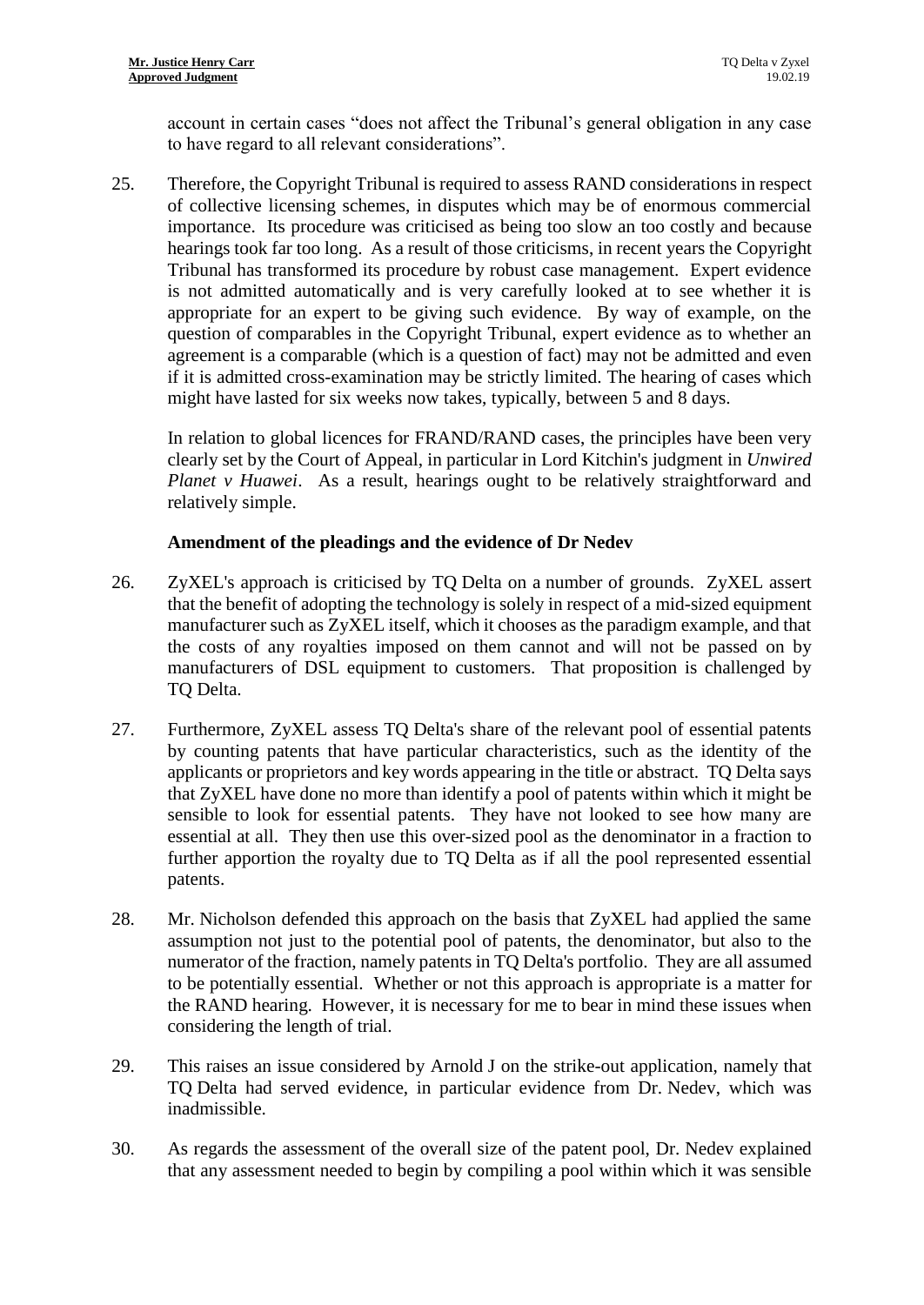account in certain cases "does not affect the Tribunal's general obligation in any case to have regard to all relevant considerations".

25. Therefore, the Copyright Tribunal is required to assess RAND considerations in respect of collective licensing schemes, in disputes which may be of enormous commercial importance. Its procedure was criticised as being too slow an too costly and because hearings took far too long. As a result of those criticisms, in recent years the Copyright Tribunal has transformed its procedure by robust case management. Expert evidence is not admitted automatically and is very carefully looked at to see whether it is appropriate for an expert to be giving such evidence. By way of example, on the question of comparables in the Copyright Tribunal, expert evidence as to whether an agreement is a comparable (which is a question of fact) may not be admitted and even if it is admitted cross-examination may be strictly limited. The hearing of cases which might have lasted for six weeks now takes, typically, between 5 and 8 days.

In relation to global licences for FRAND/RAND cases, the principles have been very clearly set by the Court of Appeal, in particular in Lord Kitchin's judgment in *Unwired Planet v Huawei*. As a result, hearings ought to be relatively straightforward and relatively simple.

# **Amendment of the pleadings and the evidence of Dr Nedev**

- 26. ZyXEL's approach is criticised by TQ Delta on a number of grounds. ZyXEL assert that the benefit of adopting the technology is solely in respect of a mid-sized equipment manufacturer such as ZyXEL itself, which it chooses as the paradigm example, and that the costs of any royalties imposed on them cannot and will not be passed on by manufacturers of DSL equipment to customers. That proposition is challenged by TQ Delta.
- 27. Furthermore, ZyXEL assess TQ Delta's share of the relevant pool of essential patents by counting patents that have particular characteristics, such as the identity of the applicants or proprietors and key words appearing in the title or abstract. TQ Delta says that ZyXEL have done no more than identify a pool of patents within which it might be sensible to look for essential patents. They have not looked to see how many are essential at all. They then use this over-sized pool as the denominator in a fraction to further apportion the royalty due to TQ Delta as if all the pool represented essential patents.
- 28. Mr. Nicholson defended this approach on the basis that ZyXEL had applied the same assumption not just to the potential pool of patents, the denominator, but also to the numerator of the fraction, namely patents in TQ Delta's portfolio. They are all assumed to be potentially essential. Whether or not this approach is appropriate is a matter for the RAND hearing. However, it is necessary for me to bear in mind these issues when considering the length of trial.
- 29. This raises an issue considered by Arnold J on the strike-out application, namely that TQ Delta had served evidence, in particular evidence from Dr. Nedev, which was inadmissible.
- 30. As regards the assessment of the overall size of the patent pool, Dr. Nedev explained that any assessment needed to begin by compiling a pool within which it was sensible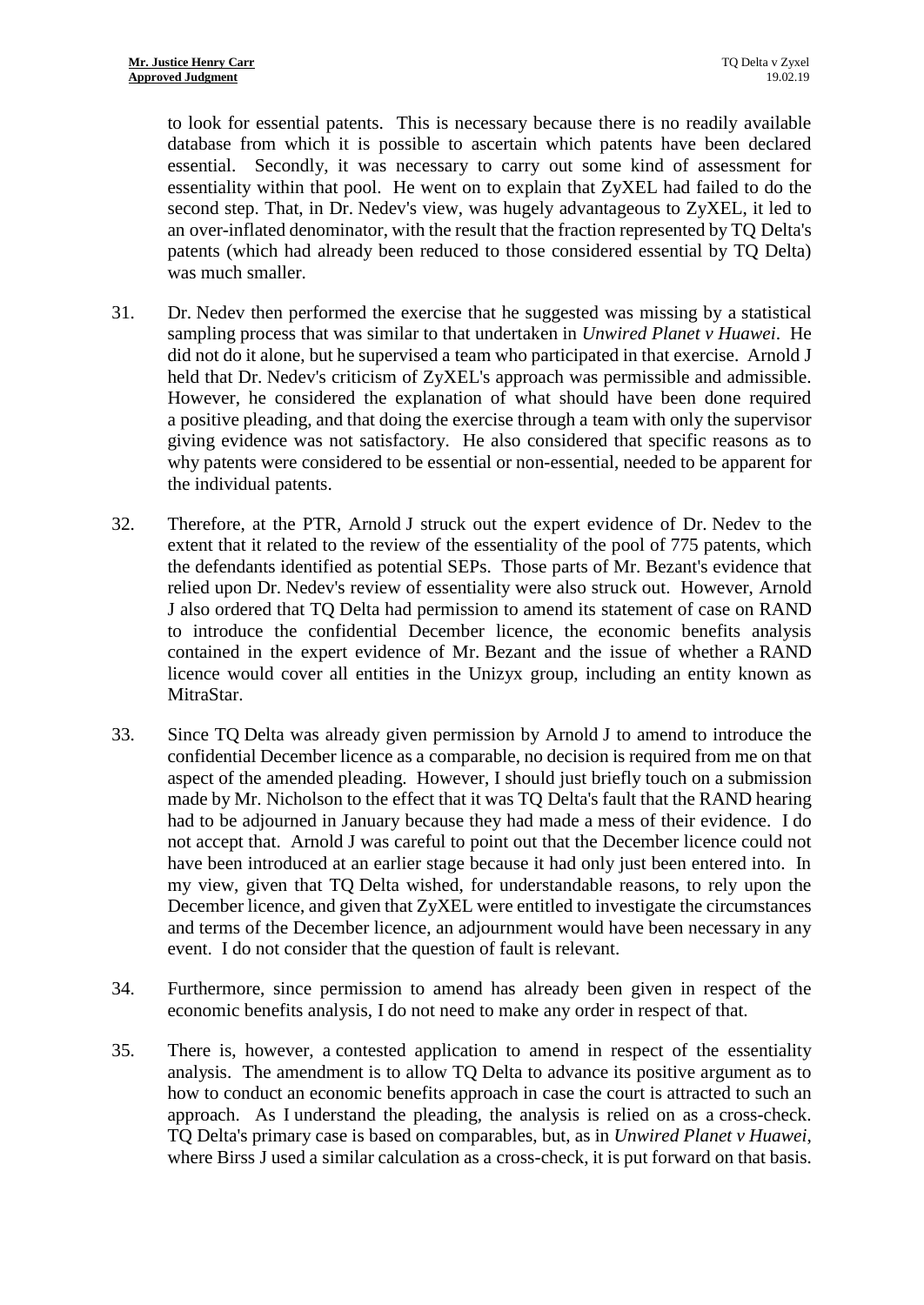to look for essential patents. This is necessary because there is no readily available database from which it is possible to ascertain which patents have been declared essential. Secondly, it was necessary to carry out some kind of assessment for essentiality within that pool. He went on to explain that ZyXEL had failed to do the second step. That, in Dr. Nedev's view, was hugely advantageous to ZyXEL, it led to an over-inflated denominator, with the result that the fraction represented by TQ Delta's patents (which had already been reduced to those considered essential by TQ Delta) was much smaller.

- 31. Dr. Nedev then performed the exercise that he suggested was missing by a statistical sampling process that was similar to that undertaken in *Unwired Planet v Huawei*. He did not do it alone, but he supervised a team who participated in that exercise. Arnold J held that Dr. Nedev's criticism of ZyXEL's approach was permissible and admissible. However, he considered the explanation of what should have been done required a positive pleading, and that doing the exercise through a team with only the supervisor giving evidence was not satisfactory. He also considered that specific reasons as to why patents were considered to be essential or non-essential, needed to be apparent for the individual patents.
- 32. Therefore, at the PTR, Arnold J struck out the expert evidence of Dr. Nedev to the extent that it related to the review of the essentiality of the pool of 775 patents, which the defendants identified as potential SEPs. Those parts of Mr. Bezant's evidence that relied upon Dr. Nedev's review of essentiality were also struck out. However, Arnold J also ordered that TQ Delta had permission to amend its statement of case on RAND to introduce the confidential December licence, the economic benefits analysis contained in the expert evidence of Mr. Bezant and the issue of whether a RAND licence would cover all entities in the Unizyx group, including an entity known as MitraStar.
- 33. Since TQ Delta was already given permission by Arnold J to amend to introduce the confidential December licence as a comparable, no decision is required from me on that aspect of the amended pleading. However, I should just briefly touch on a submission made by Mr. Nicholson to the effect that it was TQ Delta's fault that the RAND hearing had to be adjourned in January because they had made a mess of their evidence. I do not accept that. Arnold J was careful to point out that the December licence could not have been introduced at an earlier stage because it had only just been entered into. In my view, given that TQ Delta wished, for understandable reasons, to rely upon the December licence, and given that ZyXEL were entitled to investigate the circumstances and terms of the December licence, an adjournment would have been necessary in any event. I do not consider that the question of fault is relevant.
- 34. Furthermore, since permission to amend has already been given in respect of the economic benefits analysis, I do not need to make any order in respect of that.
- 35. There is, however, a contested application to amend in respect of the essentiality analysis. The amendment is to allow TQ Delta to advance its positive argument as to how to conduct an economic benefits approach in case the court is attracted to such an approach. As I understand the pleading, the analysis is relied on as a cross-check. TQ Delta's primary case is based on comparables, but, as in *Unwired Planet v Huawei*, where Birss J used a similar calculation as a cross-check, it is put forward on that basis.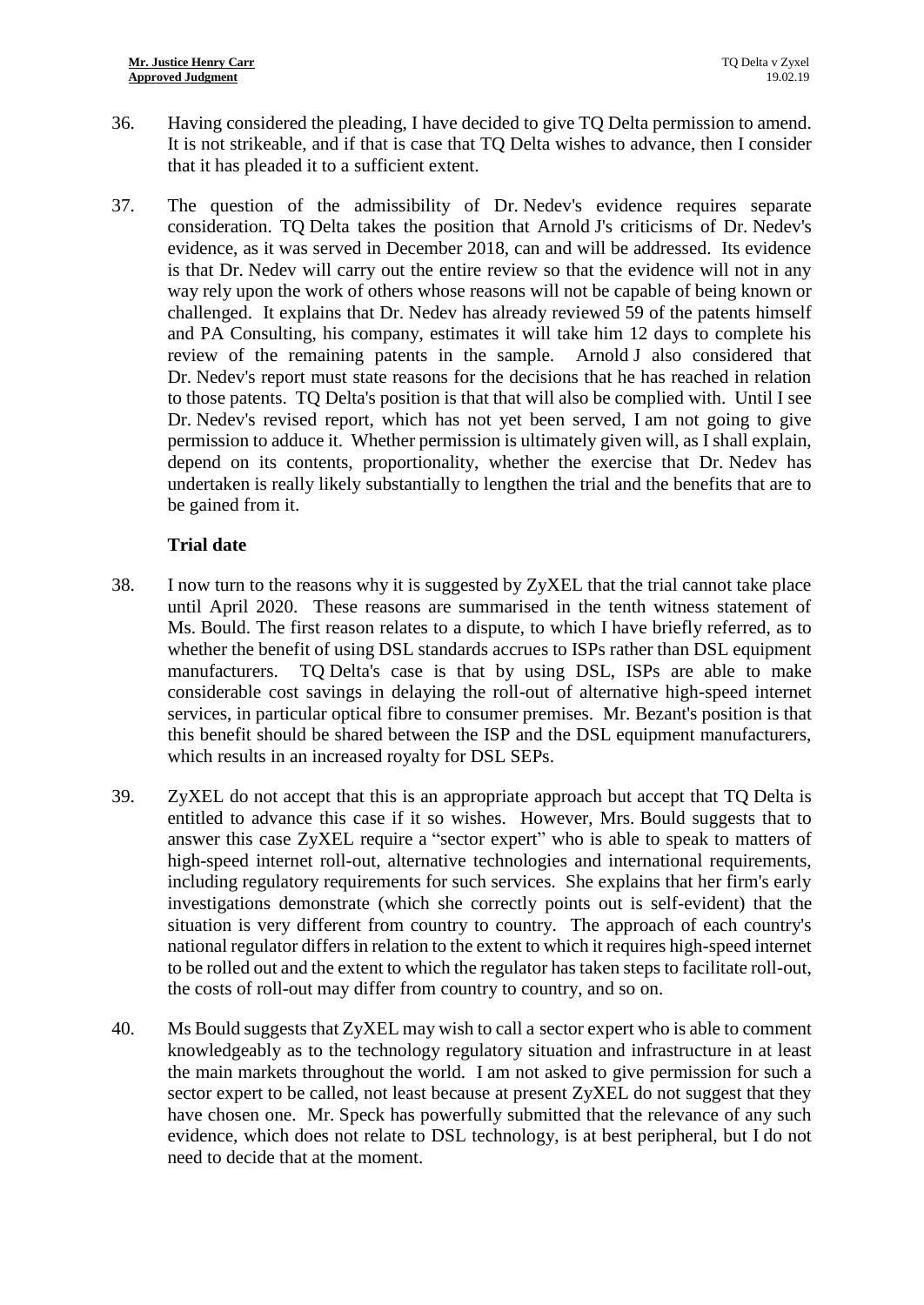- 36. Having considered the pleading, I have decided to give TQ Delta permission to amend. It is not strikeable, and if that is case that TQ Delta wishes to advance, then I consider that it has pleaded it to a sufficient extent.
- 37. The question of the admissibility of Dr. Nedev's evidence requires separate consideration. TQ Delta takes the position that Arnold J's criticisms of Dr. Nedev's evidence, as it was served in December 2018, can and will be addressed. Its evidence is that Dr. Nedev will carry out the entire review so that the evidence will not in any way rely upon the work of others whose reasons will not be capable of being known or challenged. It explains that Dr. Nedev has already reviewed 59 of the patents himself and PA Consulting, his company, estimates it will take him 12 days to complete his review of the remaining patents in the sample. Arnold J also considered that Dr. Nedev's report must state reasons for the decisions that he has reached in relation to those patents. TQ Delta's position is that that will also be complied with. Until I see Dr. Nedev's revised report, which has not yet been served, I am not going to give permission to adduce it. Whether permission is ultimately given will, as I shall explain, depend on its contents, proportionality, whether the exercise that Dr. Nedev has undertaken is really likely substantially to lengthen the trial and the benefits that are to be gained from it.

## **Trial date**

- 38. I now turn to the reasons why it is suggested by ZyXEL that the trial cannot take place until April 2020. These reasons are summarised in the tenth witness statement of Ms. Bould. The first reason relates to a dispute, to which I have briefly referred, as to whether the benefit of using DSL standards accrues to ISPs rather than DSL equipment manufacturers. TQ Delta's case is that by using DSL, ISPs are able to make considerable cost savings in delaying the roll-out of alternative high-speed internet services, in particular optical fibre to consumer premises. Mr. Bezant's position is that this benefit should be shared between the ISP and the DSL equipment manufacturers, which results in an increased royalty for DSL SEPs.
- 39. ZyXEL do not accept that this is an appropriate approach but accept that TQ Delta is entitled to advance this case if it so wishes. However, Mrs. Bould suggests that to answer this case ZyXEL require a "sector expert" who is able to speak to matters of high-speed internet roll-out, alternative technologies and international requirements, including regulatory requirements for such services. She explains that her firm's early investigations demonstrate (which she correctly points out is self-evident) that the situation is very different from country to country. The approach of each country's national regulator differs in relation to the extent to which it requires high-speed internet to be rolled out and the extent to which the regulator has taken steps to facilitate roll-out, the costs of roll-out may differ from country to country, and so on.
- 40. Ms Bould suggests that ZyXEL may wish to call a sector expert who is able to comment knowledgeably as to the technology regulatory situation and infrastructure in at least the main markets throughout the world. I am not asked to give permission for such a sector expert to be called, not least because at present ZyXEL do not suggest that they have chosen one. Mr. Speck has powerfully submitted that the relevance of any such evidence, which does not relate to DSL technology, is at best peripheral, but I do not need to decide that at the moment.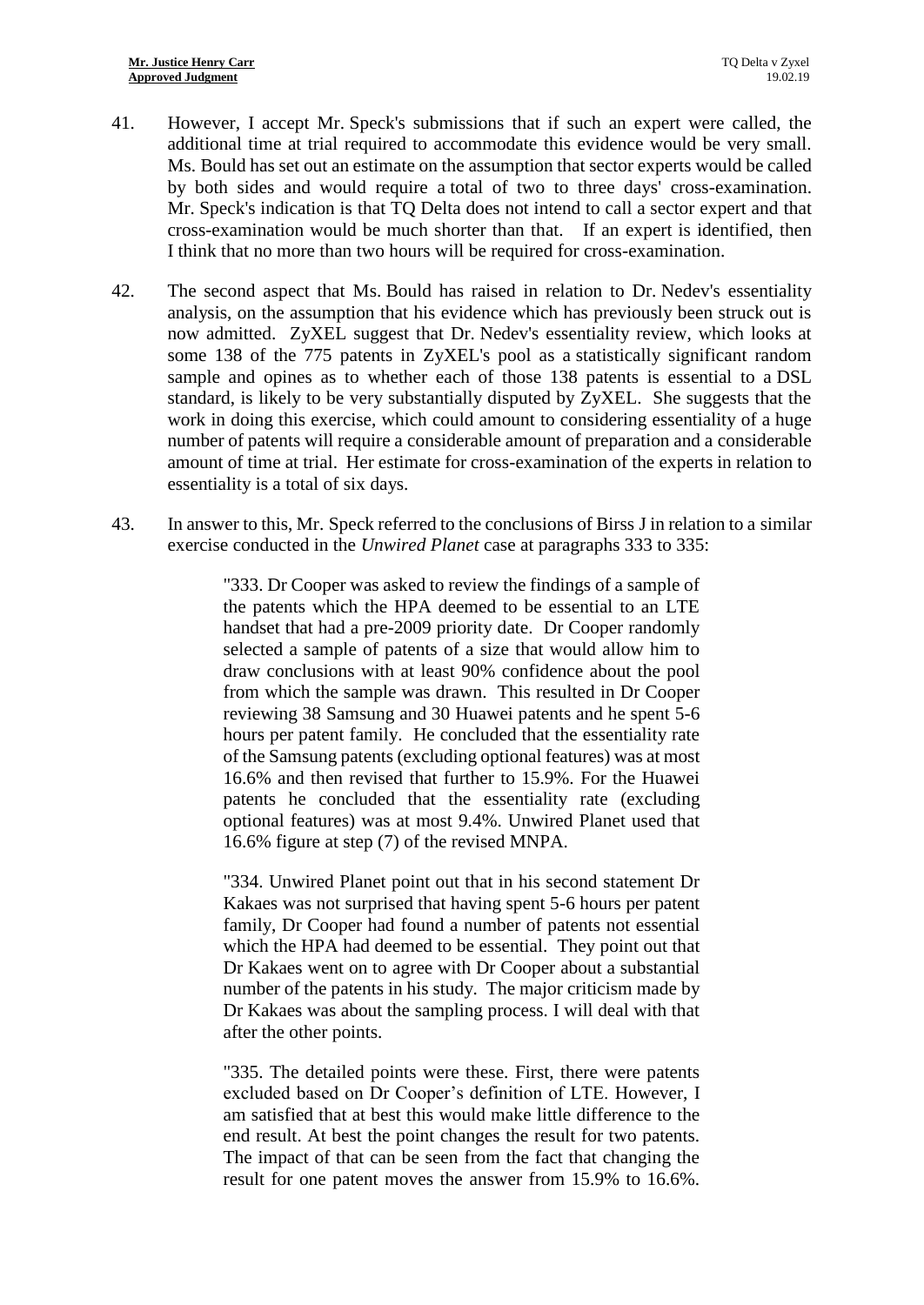- 41. However, I accept Mr. Speck's submissions that if such an expert were called, the additional time at trial required to accommodate this evidence would be very small. Ms. Bould has set out an estimate on the assumption that sector experts would be called by both sides and would require a total of two to three days' cross-examination. Mr. Speck's indication is that TQ Delta does not intend to call a sector expert and that cross-examination would be much shorter than that. If an expert is identified, then I think that no more than two hours will be required for cross-examination.
- 42. The second aspect that Ms. Bould has raised in relation to Dr. Nedev's essentiality analysis, on the assumption that his evidence which has previously been struck out is now admitted. ZyXEL suggest that Dr. Nedev's essentiality review, which looks at some 138 of the 775 patents in ZyXEL's pool as a statistically significant random sample and opines as to whether each of those 138 patents is essential to a DSL standard, is likely to be very substantially disputed by ZyXEL. She suggests that the work in doing this exercise, which could amount to considering essentiality of a huge number of patents will require a considerable amount of preparation and a considerable amount of time at trial. Her estimate for cross-examination of the experts in relation to essentiality is a total of six days.
- 43. In answer to this, Mr. Speck referred to the conclusions of Birss J in relation to a similar exercise conducted in the *Unwired Planet* case at paragraphs 333 to 335:

"333. Dr Cooper was asked to review the findings of a sample of the patents which the HPA deemed to be essential to an LTE handset that had a pre-2009 priority date. Dr Cooper randomly selected a sample of patents of a size that would allow him to draw conclusions with at least 90% confidence about the pool from which the sample was drawn. This resulted in Dr Cooper reviewing 38 Samsung and 30 Huawei patents and he spent 5-6 hours per patent family. He concluded that the essentiality rate of the Samsung patents (excluding optional features) was at most 16.6% and then revised that further to 15.9%. For the Huawei patents he concluded that the essentiality rate (excluding optional features) was at most 9.4%. Unwired Planet used that 16.6% figure at step (7) of the revised MNPA.

"334. Unwired Planet point out that in his second statement Dr Kakaes was not surprised that having spent 5-6 hours per patent family, Dr Cooper had found a number of patents not essential which the HPA had deemed to be essential. They point out that Dr Kakaes went on to agree with Dr Cooper about a substantial number of the patents in his study. The major criticism made by Dr Kakaes was about the sampling process. I will deal with that after the other points.

"335. The detailed points were these. First, there were patents excluded based on Dr Cooper's definition of LTE. However, I am satisfied that at best this would make little difference to the end result. At best the point changes the result for two patents. The impact of that can be seen from the fact that changing the result for one patent moves the answer from 15.9% to 16.6%.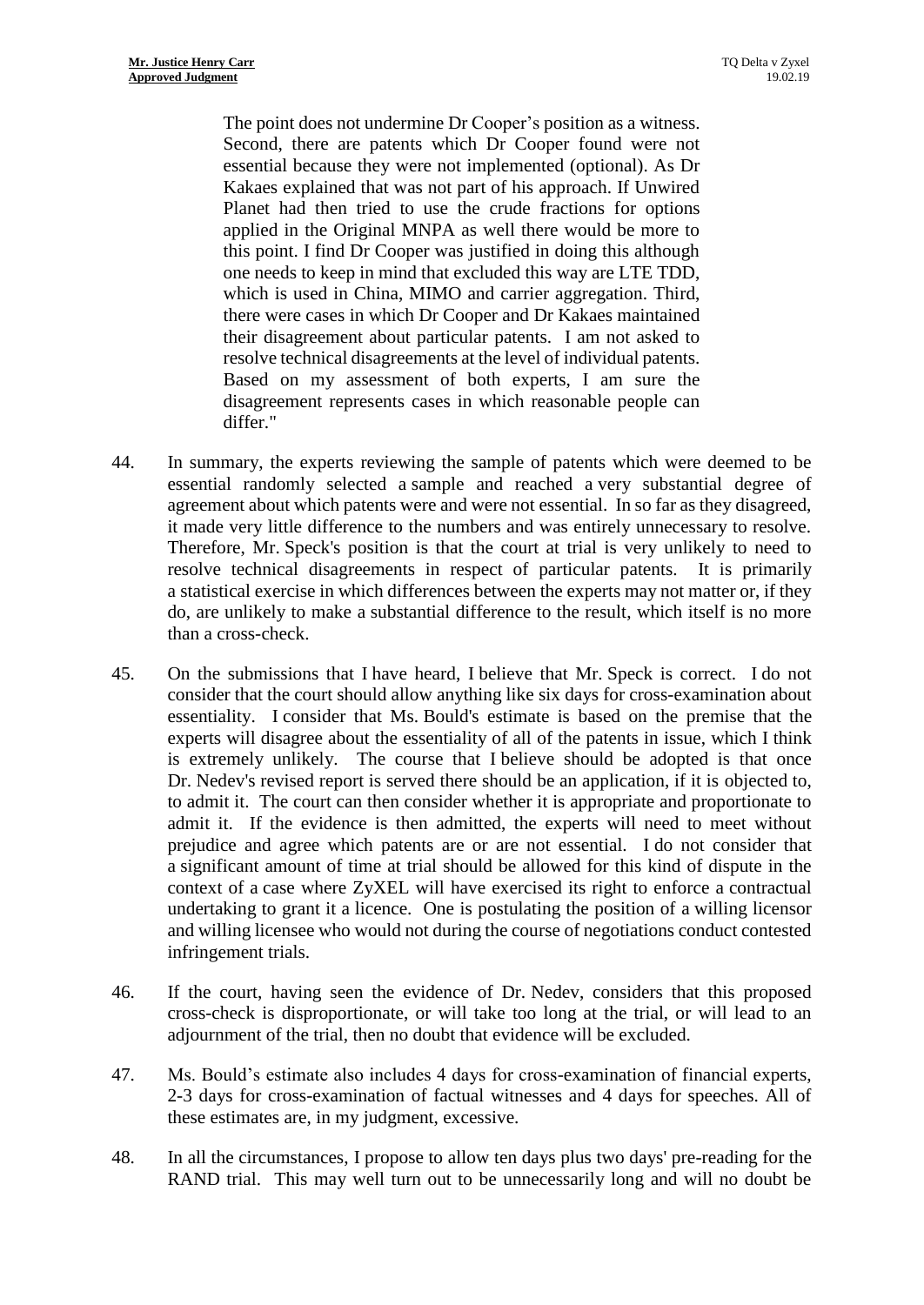The point does not undermine Dr Cooper's position as a witness. Second, there are patents which Dr Cooper found were not essential because they were not implemented (optional). As Dr Kakaes explained that was not part of his approach. If Unwired Planet had then tried to use the crude fractions for options applied in the Original MNPA as well there would be more to this point. I find Dr Cooper was justified in doing this although one needs to keep in mind that excluded this way are LTE TDD, which is used in China, MIMO and carrier aggregation. Third, there were cases in which Dr Cooper and Dr Kakaes maintained their disagreement about particular patents. I am not asked to resolve technical disagreements at the level of individual patents. Based on my assessment of both experts, I am sure the disagreement represents cases in which reasonable people can differ."

- 44. In summary, the experts reviewing the sample of patents which were deemed to be essential randomly selected a sample and reached a very substantial degree of agreement about which patents were and were not essential. In so far as they disagreed, it made very little difference to the numbers and was entirely unnecessary to resolve. Therefore, Mr. Speck's position is that the court at trial is very unlikely to need to resolve technical disagreements in respect of particular patents. It is primarily a statistical exercise in which differences between the experts may not matter or, if they do, are unlikely to make a substantial difference to the result, which itself is no more than a cross-check.
- 45. On the submissions that I have heard, I believe that Mr. Speck is correct. I do not consider that the court should allow anything like six days for cross-examination about essentiality. I consider that Ms. Bould's estimate is based on the premise that the experts will disagree about the essentiality of all of the patents in issue, which I think is extremely unlikely. The course that I believe should be adopted is that once Dr. Nedev's revised report is served there should be an application, if it is objected to, to admit it. The court can then consider whether it is appropriate and proportionate to admit it. If the evidence is then admitted, the experts will need to meet without prejudice and agree which patents are or are not essential. I do not consider that a significant amount of time at trial should be allowed for this kind of dispute in the context of a case where ZyXEL will have exercised its right to enforce a contractual undertaking to grant it a licence. One is postulating the position of a willing licensor and willing licensee who would not during the course of negotiations conduct contested infringement trials.
- 46. If the court, having seen the evidence of Dr. Nedev, considers that this proposed cross-check is disproportionate, or will take too long at the trial, or will lead to an adjournment of the trial, then no doubt that evidence will be excluded.
- 47. Ms. Bould's estimate also includes 4 days for cross-examination of financial experts, 2-3 days for cross-examination of factual witnesses and 4 days for speeches. All of these estimates are, in my judgment, excessive.
- 48. In all the circumstances, I propose to allow ten days plus two days' pre-reading for the RAND trial. This may well turn out to be unnecessarily long and will no doubt be